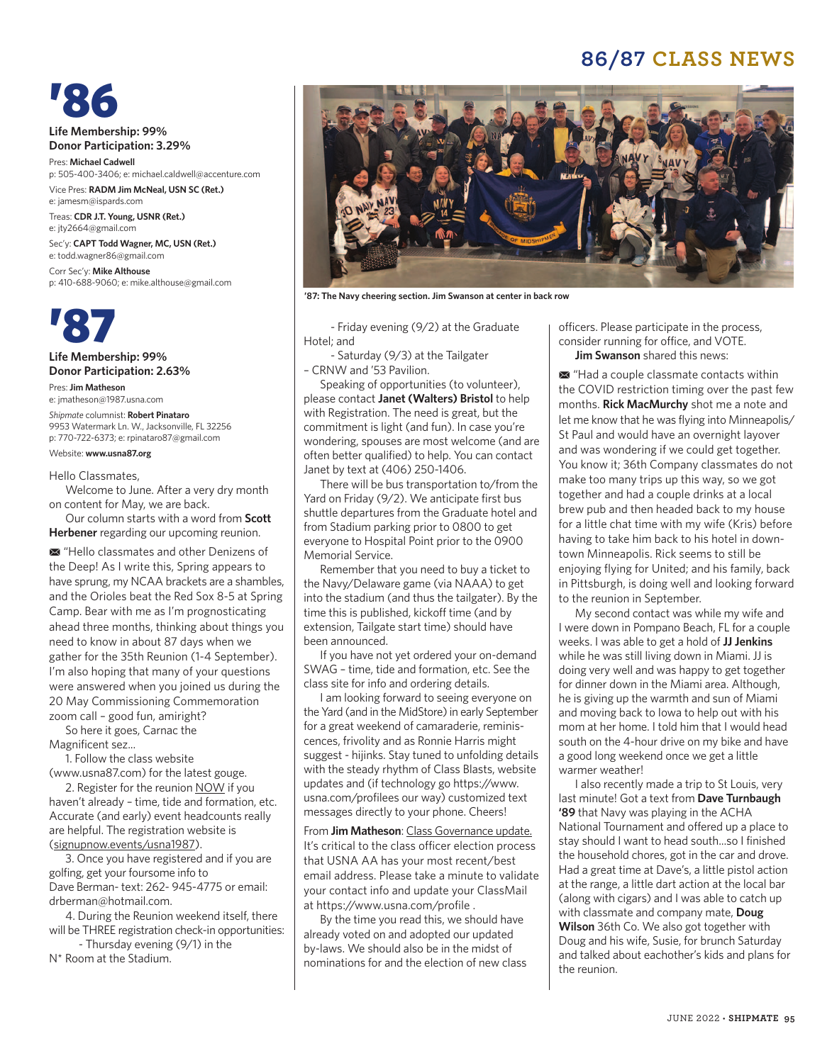## **86/87 CLASS NEWS**

'86

**Life Membership: 99% Donor Participation: 3.29%**

Pres: **Michael Cadwell**  p: 505-400-3406; e: michael.caldwell@accenture.com Vice Pres: **RADM Jim McNeal, USN SC (Ret.)**

e: jamesm@ispards.com Treas: **CDR J.T. Young, USNR (Ret.)** e: jty2664@gmail.com

Sec'y: **CAPT Todd Wagner, MC, USN (Ret.)** e: todd.wagner86@gmail.com Corr Sec'y: **Mike Althouse**

p: 410-688-9060; e: mike.althouse@gmail.com



**Life Membership: 99% Donor Participation: 2.63%**

Pres:**Jim Matheson** e: jmatheson@1987.usna.com

*Shipmate* columnist: **Robert Pinataro** 9953 Watermark Ln. W., Jacksonville, FL 32256 p: 770-722-6373; e: rpinataro87@gmail.com

#### Website: **www.usna87.org**

#### Hello Classmates,

Welcome to June. After a very dry month on content for May, we are back.

Our column starts with a word from **Scott Herbener** regarding our upcoming reunion.

M "Hello classmates and other Denizens of the Deep! As I write this, Spring appears to have sprung, my NCAA brackets are a shambles, and the Orioles beat the Red Sox 8-5 at Spring Camp. Bear with me as I'm prognosticating ahead three months, thinking about things you need to know in about 87 days when we gather for the 35th Reunion (1-4 September). I'm also hoping that many of your questions were answered when you joined us during the 20 May Commissioning Commemoration zoom call – good fun, amiright?

So here it goes, Carnac the Magnificent sez...

1. Follow the class website (www.usna87.com) for the latest gouge.

2. Register for the reunion NOW if you haven't already – time, tide and formation, etc. Accurate (and early) event headcounts really are helpful. The registration website is (signupnow.events/usna1987).

3. Once you have registered and if you are golfing, get your foursome info to Dave Berman- text: 262- 945-4775 or email: drberman@hotmail.com.

4. During the Reunion weekend itself, there will be THREE registration check-in opportunities:

 - Thursday evening (9/1) in the N\* Room at the Stadium.



**'87: The Navy cheering section. Jim Swanson at center in back row**

 - Friday evening (9/2) at the Graduate Hotel; and

 - Saturday (9/3) at the Tailgater – CRNW and '53 Pavilion.

Speaking of opportunities (to volunteer), please contact **Janet (Walters) Bristol** to help with Registration. The need is great, but the commitment is light (and fun). In case you're wondering, spouses are most welcome (and are often better qualified) to help. You can contact Janet by text at (406) 250-1406.

There will be bus transportation to/from the Yard on Friday (9/2). We anticipate first bus shuttle departures from the Graduate hotel and from Stadium parking prior to 0800 to get everyone to Hospital Point prior to the 0900 Memorial Service.

Remember that you need to buy a ticket to the Navy/Delaware game (via NAAA) to get into the stadium (and thus the tailgater). By the time this is published, kickoff time (and by extension, Tailgate start time) should have been announced.

If you have not yet ordered your on-demand SWAG – time, tide and formation, etc. See the class site for info and ordering details.

I am looking forward to seeing everyone on the Yard (and in the MidStore) in early September for a great weekend of camaraderie, reminiscences, frivolity and as Ronnie Harris might suggest - hijinks. Stay tuned to unfolding details with the steady rhythm of Class Blasts, website updates and (if technology go https://www. usna.com/profilees our way) customized text messages directly to your phone. Cheers!

From **Jim Matheson**: Class Governance update. It's critical to the class officer election process that USNA AA has your most recent/best email address. Please take a minute to validate your contact info and update your ClassMail at https://www.usna.com/profile .

By the time you read this, we should have already voted on and adopted our updated by-laws. We should also be in the midst of nominations for and the election of new class officers. Please participate in the process, consider running for office, and VOTE. **Jim Swanson** shared this news:

 $\blacksquare$  "Had a couple classmate contacts within the COVID restriction timing over the past few months. **Rick MacMurchy** shot me a note and let me know that he was flying into Minneapolis/ St Paul and would have an overnight layover and was wondering if we could get together. You know it; 36th Company classmates do not make too many trips up this way, so we got together and had a couple drinks at a local brew pub and then headed back to my house for a little chat time with my wife (Kris) before having to take him back to his hotel in downtown Minneapolis. Rick seems to still be enjoying flying for United; and his family, back in Pittsburgh, is doing well and looking forward to the reunion in September.

My second contact was while my wife and I were down in Pompano Beach, FL for a couple weeks. I was able to get a hold of **JJ Jenkins** while he was still living down in Miami. JJ is doing very well and was happy to get together for dinner down in the Miami area. Although, he is giving up the warmth and sun of Miami and moving back to Iowa to help out with his mom at her home. I told him that I would head south on the 4-hour drive on my bike and have a good long weekend once we get a little warmer weather!

I also recently made a trip to St Louis, very last minute! Got a text from **Dave Turnbaugh '89** that Navy was playing in the ACHA National Tournament and offered up a place to stay should I want to head south...so I finished the household chores, got in the car and drove. Had a great time at Dave's, a little pistol action at the range, a little dart action at the local bar (along with cigars) and I was able to catch up with classmate and company mate, **Doug Wilson** 36th Co. We also got together with Doug and his wife, Susie, for brunch Saturday and talked about eachother's kids and plans for the reunion.